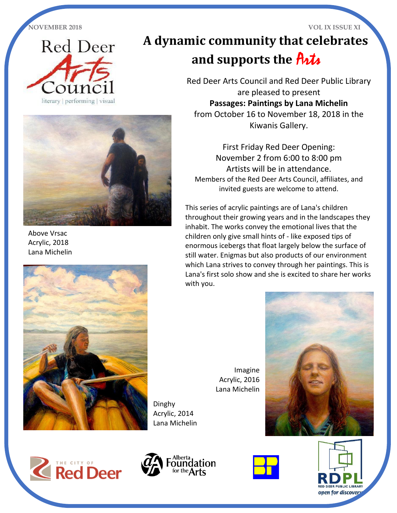

# **A dynamic community that celebrates and supports the** Arts

Red Deer Arts Council and Red Deer Public Library are pleased to present **Passages: Paintings by Lana Michelin** from October 16 to November 18, 2018 in the Kiwanis Gallery.

 First Friday Red Deer Opening: November 2 from 6:00 to 8:00 pm Artists will be in attendance. Members of the Red Deer Arts Council, affiliates, and invited guests are welcome to attend.

This series of acrylic paintings are of Lana's children throughout their growing years and in the landscapes they inhabit. The works convey the emotional lives that the children only give small hints of - like exposed tips of enormous icebergs that float largely below the surface of still water. Enigmas but also products of our environment which Lana strives to convey through her paintings. This is Lana's first solo show and she is excited to share her works with you.

> Imagine Acrylic, 2016 Lana Michelin











Above Vrsac Acrylic, 2018 Lana Michelin



Dinghy Acrylic, 2014 Lana Michelin



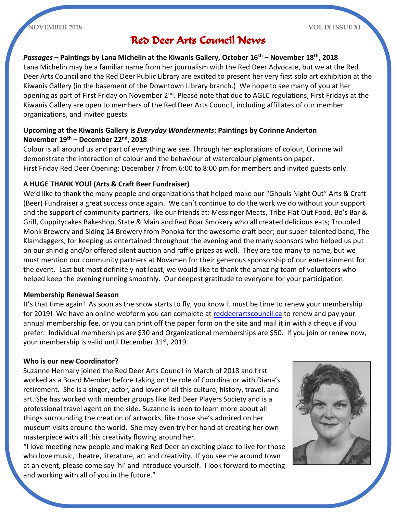

### Red Deer Arts Council News

*Passages* **– Paintings by Lana Michelin at the Kiwanis Gallery, October 16th – November 18th, 2018** Lana Michelin may be a familiar name from her journalism with the Red Deer Advocate, but we at the Red Deer Arts Council and the Red Deer Public Library are excited to present her very first solo art exhibition at the Kiwanis Gallery (in the basement of the Downtown Library branch.) We hope to see many of you at her opening as part of First Friday on November 2<sup>nd</sup>. Please note that due to AGLC regulations, First Fridays at the Kiwanis Gallery are open to members of the Red Deer Arts Council, including affiliates of our member organizations, and invited guests.

#### **Upcoming at the Kiwanis Gallery is** *Everyday Wonderments***: Paintings by Corinne Anderton November 19th – December 22nd, 2018**

Colour is all around us and part of everything we see. Through her explorations of colour, Corinne will demonstrate the interaction of colour and the behaviour of watercolour pigments on paper. First Friday Red Deer Opening: December 7 from 6:00 to 8:00 pm for members and invited guests only.

#### **A HUGE THANK YOU! (Arts & Craft Beer Fundraiser)**

We'd like to thank the many people and organizations that helped make our "Ghouls Night Out" Arts & Craft (Beer) Fundraiser a great success once again. We can't continue to do the work we do without your support and the support of community partners, like our friends at: Messinger Meats, Tribe Flat Out Food, Bo's Bar & Grill, Cuppitycakes Bakeshop, State & Main and Red Boar Smokery who all created delicious eats; Troubled Monk Brewery and Siding 14 Brewery from Ponoka for the awesome craft beer; our super-talented band, The Klamdaggers, for keeping us entertained throughout the evening and the many sponsors who helped us put on our shindig and/or offered silent auction and raffle prizes as well. They are too many to name, but we must mention our community partners at Novamen for their generous sponsorship of our entertainment for the event. Last but most definitely not least, we would like to thank the amazing team of volunteers who helped keep the evening running smoothly. Our deepest gratitude to everyone for your participation.

#### **Membership Renewal Season**

It's that time again! As soon as the snow starts to fly, you know it must be time to renew your membership for 2019! We have an online webform you can complete at [reddeerartscouncil.ca](http://www.reddeerartscouncil.ca/) to renew and pay your annual membership fee, or you can print off the paper form on the site and mail it in with a cheque if you prefer. Individual memberships are \$30 and Organizational memberships are \$50. If you join or renew now, your membership is valid until December 31<sup>st</sup>, 2019.

#### **Who is our new Coordinator?**

Suzanne Hermary joined the Red Deer Arts Council in March of 2018 and first worked as a Board Member before taking on the role of Coordinator with Diana's retirement. She is a singer, actor, and lover of all this culture, history, travel, and art. She has worked with member groups like Red Deer Players Society and is a professional travel agent on the side. Suzanne is keen to learn more about all things surrounding the creation of artworks, like those she's admired on her museum visits around the world. She may even try her hand at creating her own masterpiece with all this creativity flowing around her.

"I love meeting new people and making Red Deer an exciting place to live for those who love music, theatre, literature, art and creativity. If you see me around town at an event, please come say 'hi' and introduce yourself. I look forward to meeting and working with all of you in the future."